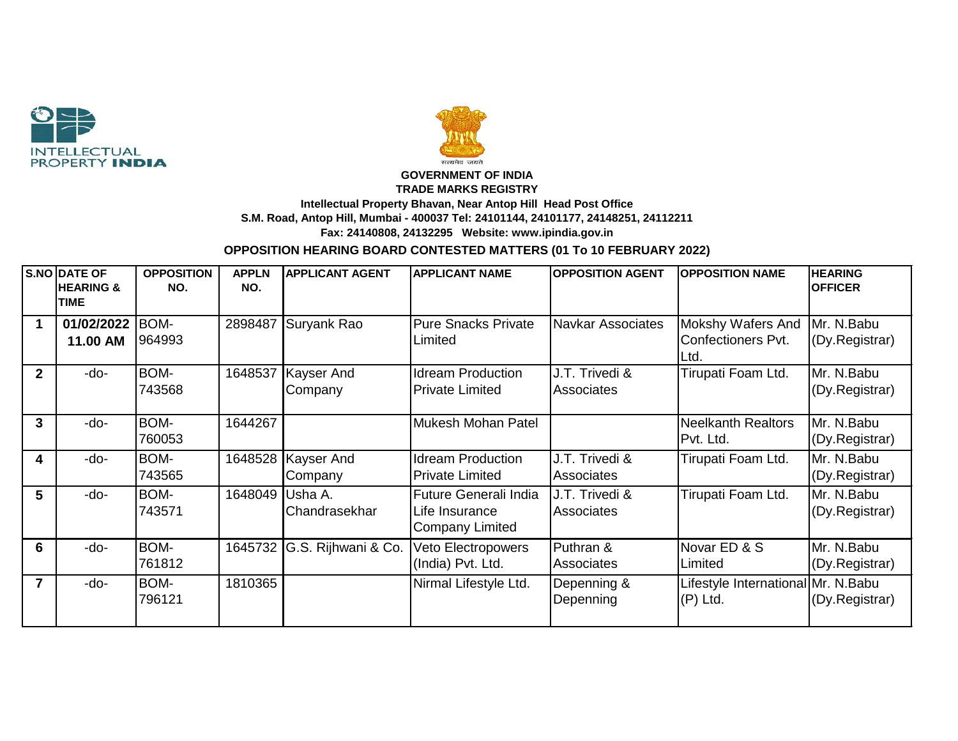



## **GOVERNMENT OF INDIA TRADE MARKS REGISTRY Intellectual Property Bhavan, Near Antop Hill Head Post Office S.M. Road, Antop Hill, Mumbai - 400037 Tel: 24101144, 24101177, 24148251, 24112211 Fax: 24140808, 24132295 Website: www.ipindia.gov.in**

## **OPPOSITION HEARING BOARD CONTESTED MATTERS (01 To 10 FEBRUARY 2022)**

|                | S.NO DATE OF<br><b>HEARING &amp;</b><br><b>TIME</b> | <b>OPPOSITION</b><br>NO. | <b>APPLN</b><br>NO. | <b>APPLICANT AGENT</b>          | <b>APPLICANT NAME</b>                                      | <b>OPPOSITION AGENT</b>             | <b>OPPOSITION NAME</b>                            | <b>HEARING</b><br><b>OFFICER</b> |
|----------------|-----------------------------------------------------|--------------------------|---------------------|---------------------------------|------------------------------------------------------------|-------------------------------------|---------------------------------------------------|----------------------------------|
| 1              | 01/02/2022<br>11.00 AM                              | BOM-<br>964993           | 2898487             | Suryank Rao                     | <b>Pure Snacks Private</b><br>Limited                      | <b>Navkar Associates</b>            | Mokshy Wafers And<br>Confectioners Pvt.<br>Ltd.   | Mr. N.Babu<br>(Dy.Registrar)     |
| $\overline{2}$ | -do-                                                | BOM-<br>743568           | 1648537             | Kayser And<br>Company           | <b>Idream Production</b><br><b>Private Limited</b>         | J.T. Trivedi &<br><b>Associates</b> | Tirupati Foam Ltd.                                | Mr. N.Babu<br>(Dy.Registrar)     |
| 3              | -do-                                                | BOM-<br>760053           | 1644267             |                                 | Mukesh Mohan Patel                                         |                                     | <b>Neelkanth Realtors</b><br>Pvt. Ltd.            | Mr. N.Babu<br>(Dy.Registrar)     |
| 4              | -do-                                                | BOM-<br>743565           |                     | 1648528   Kayser And<br>Company | <b>Idream Production</b><br><b>Private Limited</b>         | J.T. Trivedi &<br><b>Associates</b> | Tirupati Foam Ltd.                                | Mr. N.Babu<br>(Dy.Registrar)     |
| 5              | -do-                                                | BOM-<br>743571           | 1648049             | Usha A.<br>Chandrasekhar        | Future Generali India<br>Life Insurance<br>Company Limited | J.T. Trivedi &<br><b>Associates</b> | Tirupati Foam Ltd.                                | Mr. N.Babu<br>(Dy.Registrar)     |
| 6              | -do-                                                | BOM-<br>761812           |                     | 1645732 G.S. Rijhwani & Co.     | Veto Electropowers<br>(India) Pvt. Ltd.                    | Puthran &<br><b>Associates</b>      | Novar ED & S<br>Limited                           | Mr. N.Babu<br>(Dy.Registrar)     |
| $\overline{7}$ | -do-                                                | BOM-<br>796121           | 1810365             |                                 | Nirmal Lifestyle Ltd.                                      | Depenning &<br>Depenning            | Lifestyle International Mr. N. Babu<br>$(P)$ Ltd. | (Dy.Registrar)                   |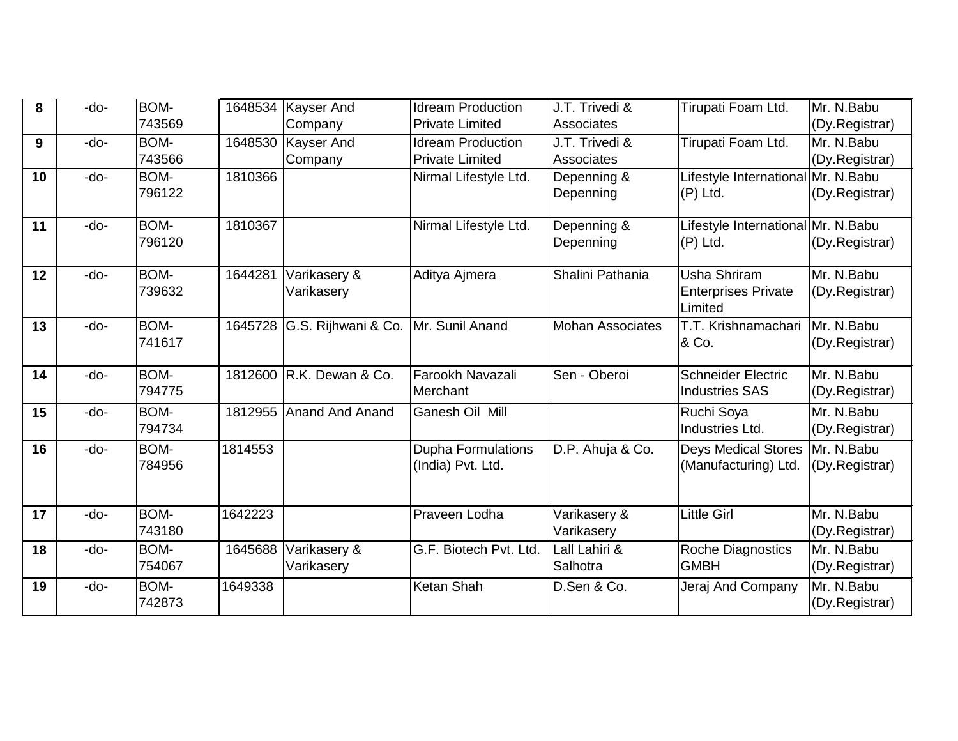| 8  | -do- | BOM-<br>743569 | 1648534 | <b>Kayser And</b>      | <b>Idream Production</b>  | J.T. Trivedi &          | Tirupati Foam Ltd.                  | Mr. N.Babu     |
|----|------|----------------|---------|------------------------|---------------------------|-------------------------|-------------------------------------|----------------|
|    |      |                |         | Company                | <b>Private Limited</b>    | Associates              |                                     | (Dy.Registrar) |
| 9  | -do- | BOM-           | 1648530 | <b>Kayser And</b>      | <b>Idream Production</b>  | J.T. Trivedi &          | Tirupati Foam Ltd.                  | Mr. N.Babu     |
|    |      | 743566         |         | Company                | <b>Private Limited</b>    | Associates              |                                     | (Dy.Registrar) |
| 10 | -do- | BOM-           | 1810366 |                        | Nirmal Lifestyle Ltd.     | Depenning &             | Lifestyle International Mr. N. Babu |                |
|    |      | 796122         |         |                        |                           | Depenning               | $(P)$ Ltd.                          | (Dy.Registrar) |
| 11 | -do- | BOM-           | 1810367 |                        | Nirmal Lifestyle Ltd.     | Depenning &             | Lifestyle International Mr. N. Babu |                |
|    |      | 796120         |         |                        |                           | Depenning               | $(P)$ Ltd.                          | (Dy.Registrar) |
| 12 | -do- | BOM-           | 1644281 | Varikasery &           | Aditya Ajmera             | Shalini Pathania        | <b>Usha Shriram</b>                 | Mr. N.Babu     |
|    |      | 739632         |         | Varikasery             |                           |                         | <b>Enterprises Private</b>          | (Dy.Registrar) |
|    |      |                |         |                        |                           |                         | Limited                             |                |
| 13 | -do- | BOM-           | 1645728 | G.S. Rijhwani & Co.    | Mr. Sunil Anand           | <b>Mohan Associates</b> | T.T. Krishnamachari                 | Mr. N.Babu     |
|    |      | 741617         |         |                        |                           |                         | & Co.                               | (Dy.Registrar) |
|    |      |                |         |                        |                           |                         |                                     |                |
| 14 | -do- | BOM-           | 1812600 | R.K. Dewan & Co.       | Farookh Navazali          | Sen - Oberoi            | <b>Schneider Electric</b>           | Mr. N.Babu     |
|    |      | 794775         |         |                        | Merchant                  |                         | <b>Industries SAS</b>               | (Dy.Registrar) |
| 15 | -do- | BOM-           | 1812955 | <b>Anand And Anand</b> | Ganesh Oil Mill           |                         | Ruchi Soya                          | Mr. N.Babu     |
|    |      | 794734         |         |                        |                           |                         | Industries Ltd.                     | (Dy.Registrar) |
| 16 | -do- | BOM-           | 1814553 |                        | <b>Dupha Formulations</b> | D.P. Ahuja & Co.        | <b>Deys Medical Stores</b>          | Mr. N.Babu     |
|    |      | 784956         |         |                        | (India) Pvt. Ltd.         |                         | (Manufacturing) Ltd.                | (Dy.Registrar) |
|    |      |                |         |                        |                           |                         |                                     |                |
| 17 | -do- | BOM-           | 1642223 |                        | Praveen Lodha             | Varikasery &            | <b>Little Girl</b>                  | Mr. N.Babu     |
|    |      | 743180         |         |                        |                           | Varikasery              |                                     | (Dy.Registrar) |
| 18 | -do- | BOM-           | 1645688 | Varikasery &           | G.F. Biotech Pvt. Ltd.    | Lall Lahiri &           | <b>Roche Diagnostics</b>            | Mr. N.Babu     |
|    |      | 754067         |         | Varikasery             |                           | Salhotra                | <b>GMBH</b>                         | (Dy.Registrar) |
| 19 | -do- | BOM-           | 1649338 |                        | Ketan Shah                | D.Sen & Co.             | Jeraj And Company                   | Mr. N.Babu     |
|    |      | 742873         |         |                        |                           |                         |                                     | (Dy.Registrar) |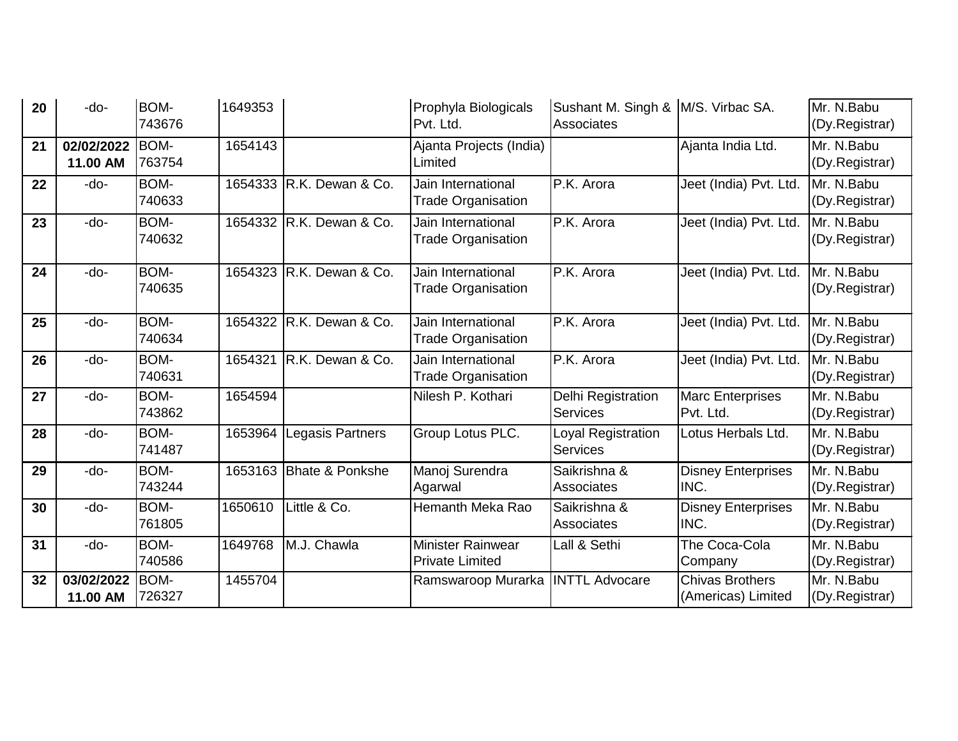| 20 | -do-                   | <b>BOM-</b><br>743676 | 1649353 |                            | Prophyla Biologicals<br>Pvt. Ltd.               | Sushant M. Singh &  M/S. Virbac SA.<br><b>Associates</b> |                                              | Mr. N.Babu<br>(Dy.Registrar) |
|----|------------------------|-----------------------|---------|----------------------------|-------------------------------------------------|----------------------------------------------------------|----------------------------------------------|------------------------------|
| 21 | 02/02/2022<br>11.00 AM | <b>BOM-</b><br>763754 | 1654143 |                            | Ajanta Projects (India)<br>Limited              |                                                          | Ajanta India Ltd.                            | Mr. N.Babu<br>(Dy.Registrar) |
| 22 | -do-                   | BOM-<br>740633        | 1654333 | R.K. Dewan & Co.           | Jain International<br><b>Trade Organisation</b> | P.K. Arora                                               | Jeet (India) Pvt. Ltd.                       | Mr. N.Babu<br>(Dy.Registrar) |
| 23 | -do-                   | BOM-<br>740632        | 1654332 | R.K. Dewan & Co.           | Jain International<br><b>Trade Organisation</b> | P.K. Arora                                               | Jeet (India) Pvt. Ltd.                       | Mr. N.Babu<br>(Dy.Registrar) |
| 24 | -do-                   | <b>BOM-</b><br>740635 | 1654323 | R.K. Dewan & Co.           | Jain International<br><b>Trade Organisation</b> | P.K. Arora                                               | Jeet (India) Pvt. Ltd.                       | Mr. N.Babu<br>(Dy.Registrar) |
| 25 | -do-                   | BOM-<br>740634        | 1654322 | R.K. Dewan & Co.           | Jain International<br><b>Trade Organisation</b> | P.K. Arora                                               | Jeet (India) Pvt. Ltd.                       | Mr. N.Babu<br>(Dy.Registrar) |
| 26 | -do-                   | BOM-<br>740631        | 1654321 | R.K. Dewan & Co.           | Jain International<br><b>Trade Organisation</b> | IP.K. Arora                                              | Jeet (India) Pvt. Ltd.                       | Mr. N.Babu<br>(Dy.Registrar) |
| 27 | -do-                   | BOM-<br>743862        | 1654594 |                            | Nilesh P. Kothari                               | Delhi Registration<br><b>Services</b>                    | <b>Marc Enterprises</b><br>Pvt. Ltd.         | Mr. N.Babu<br>(Dy.Registrar) |
| 28 | -do-                   | BOM-<br>741487        | 1653964 | Legasis Partners           | Group Lotus PLC.                                | Loyal Registration<br><b>Services</b>                    | Lotus Herbals Ltd.                           | Mr. N.Babu<br>(Dy.Registrar) |
| 29 | -do-                   | BOM-<br>743244        | 1653163 | <b>Bhate &amp; Ponkshe</b> | Manoj Surendra<br>Agarwal                       | Saikrishna &<br>Associates                               | <b>Disney Enterprises</b><br>INC.            | Mr. N.Babu<br>(Dy.Registrar) |
| 30 | -do-                   | BOM-<br>761805        | 1650610 | Little & Co.               | Hemanth Meka Rao                                | Saikrishna &<br><b>Associates</b>                        | <b>Disney Enterprises</b><br>INC.            | Mr. N.Babu<br>(Dy.Registrar) |
| 31 | -do-                   | BOM-<br>740586        | 1649768 | M.J. Chawla                | Minister Rainwear<br><b>Private Limited</b>     | Lall & Sethi                                             | The Coca-Cola<br>Company                     | Mr. N.Babu<br>(Dy.Registrar) |
| 32 | 03/02/2022<br>11.00 AM | BOM-<br>726327        | 1455704 |                            | Ramswaroop Murarka   INTTL Advocare             |                                                          | <b>Chivas Brothers</b><br>(Americas) Limited | Mr. N.Babu<br>(Dy.Registrar) |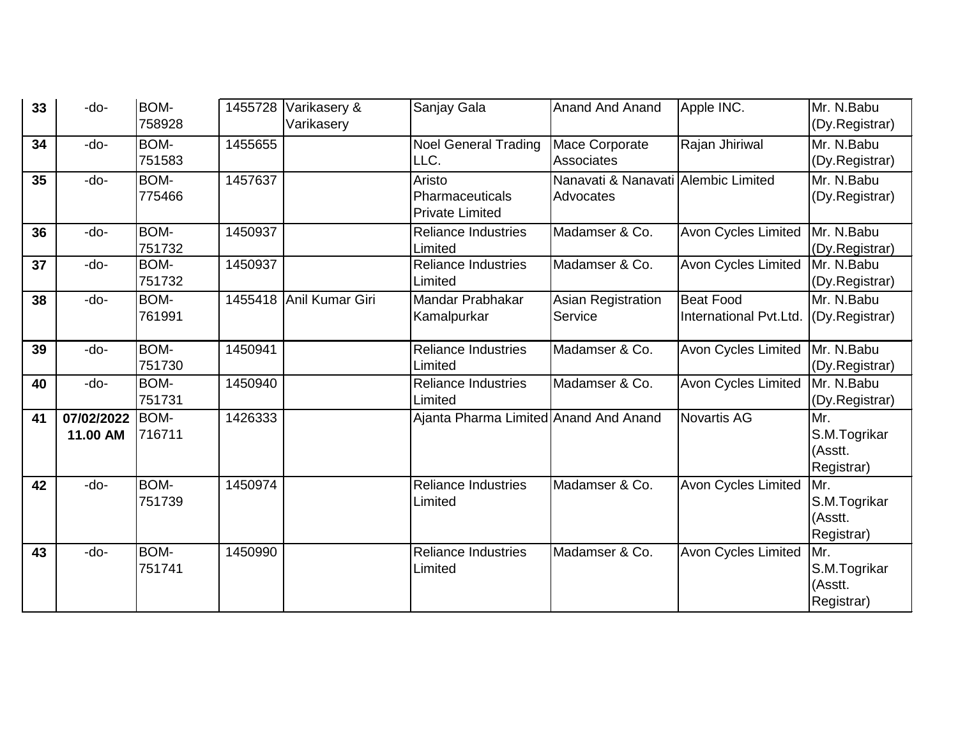| 33 | -do-                   | BOM-<br>758928 |         | 1455728 Varikasery &<br>Varikasery | Sanjay Gala                                                | <b>Anand And Anand</b>                           | Apple INC.                                 | Mr. N.Babu<br>(Dy.Registrar)                 |
|----|------------------------|----------------|---------|------------------------------------|------------------------------------------------------------|--------------------------------------------------|--------------------------------------------|----------------------------------------------|
| 34 | $-do-$                 | BOM-<br>751583 | 1455655 |                                    | <b>Noel General Trading</b><br>LLC.                        | Mace Corporate<br><b>Associates</b>              | Rajan Jhiriwal                             | Mr. N.Babu<br>(Dy.Registrar)                 |
| 35 | $-do-$                 | BOM-<br>775466 | 1457637 |                                    | Aristo<br><b>Pharmaceuticals</b><br><b>Private Limited</b> | Nanavati & Nanavati Alembic Limited<br>Advocates |                                            | Mr. N.Babu<br>(Dy.Registrar)                 |
| 36 | -do-                   | BOM-<br>751732 | 1450937 |                                    | <b>Reliance Industries</b><br>Limited                      | Madamser & Co.                                   | <b>Avon Cycles Limited</b>                 | Mr. N.Babu<br>(Dy.Registrar)                 |
| 37 | $-do-$                 | BOM-<br>751732 | 1450937 |                                    | <b>Reliance Industries</b><br>Limited                      | Madamser & Co.                                   | Avon Cycles Limited                        | Mr. N.Babu<br>(Dy.Registrar)                 |
| 38 | -do-                   | BOM-<br>761991 |         | 1455418 Anil Kumar Giri            | Mandar Prabhakar<br>Kamalpurkar                            | <b>Asian Registration</b><br>Service             | <b>Beat Food</b><br>International Pvt.Ltd. | Mr. N.Babu<br>(Dy.Registrar)                 |
| 39 | $-do-$                 | BOM-<br>751730 | 1450941 |                                    | <b>Reliance Industries</b><br>Limited                      | Madamser & Co.                                   | <b>Avon Cycles Limited</b>                 | Mr. N.Babu<br>(Dy.Registrar)                 |
| 40 | -do-                   | BOM-<br>751731 | 1450940 |                                    | <b>Reliance Industries</b><br>Limited                      | Madamser & Co.                                   | <b>Avon Cycles Limited</b>                 | Mr. N.Babu<br>(Dy.Registrar)                 |
| 41 | 07/02/2022<br>11.00 AM | BOM-<br>716711 | 1426333 |                                    | Ajanta Pharma Limited Anand And Anand                      |                                                  | Novartis AG                                | Mr.<br>S.M.Togrikar<br>(Asstt.<br>Registrar) |
| 42 | -do-                   | BOM-<br>751739 | 1450974 |                                    | <b>Reliance Industries</b><br>Limited                      | Madamser & Co.                                   | <b>Avon Cycles Limited</b>                 | Mr.<br>S.M.Togrikar<br>(Asstt.<br>Registrar) |
| 43 | -do-                   | BOM-<br>751741 | 1450990 |                                    | <b>Reliance Industries</b><br>Limited                      | Madamser & Co.                                   | Avon Cycles Limited                        | Mr.<br>S.M.Togrikar<br>(Asstt.<br>Registrar) |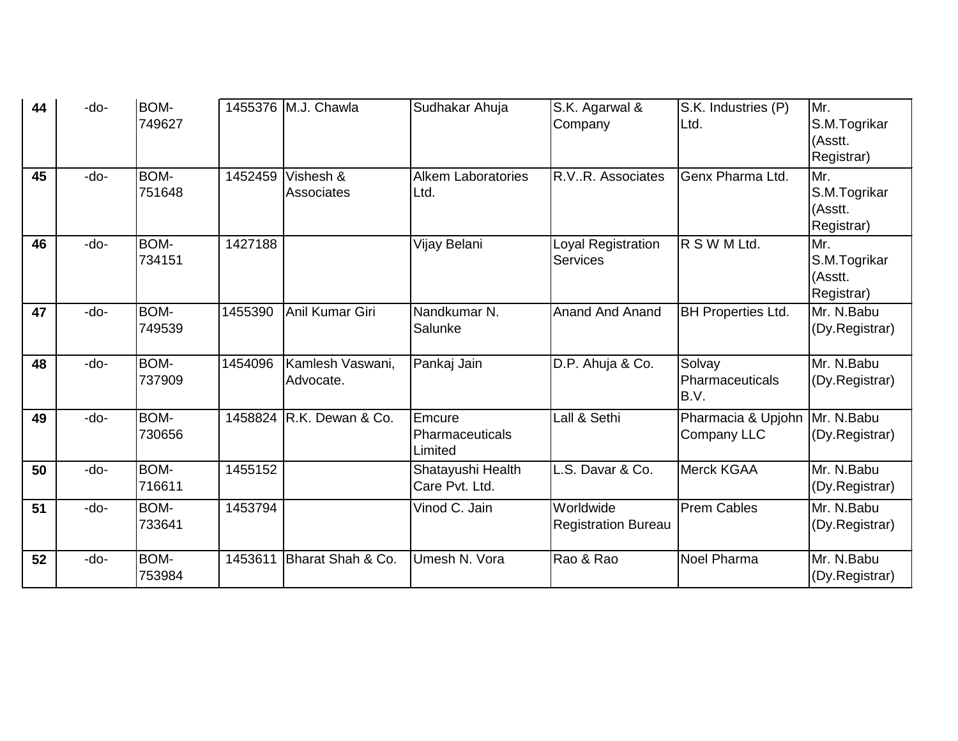| 44 | -do-   | BOM-<br>749627        |         | 1455376 M.J. Chawla             | Sudhakar Ahuja                       | S.K. Agarwal &<br>Company               | S.K. Industries (P)<br>Ltd.              | Mr.<br>S.M.Togrikar                          |
|----|--------|-----------------------|---------|---------------------------------|--------------------------------------|-----------------------------------------|------------------------------------------|----------------------------------------------|
|    |        |                       |         |                                 |                                      |                                         |                                          | (Asstt.<br>Registrar)                        |
| 45 | -do-   | <b>BOM-</b><br>751648 |         | 1452459 Vishesh &<br>Associates | <b>Alkem Laboratories</b><br>Ltd.    | R.VR. Associates                        | Genx Pharma Ltd.                         | Mr.<br>S.M.Togrikar<br>(Asstt.<br>Registrar) |
| 46 | $-do-$ | BOM-<br>734151        | 1427188 |                                 | Vijay Belani                         | Loyal Registration<br><b>Services</b>   | R S W M Ltd.                             | Mr.<br>S.M.Togrikar<br>(Asstt.<br>Registrar) |
| 47 | $-do-$ | BOM-<br>749539        | 1455390 | Anil Kumar Giri                 | Nandkumar N.<br>Salunke              | <b>Anand And Anand</b>                  | <b>BH Properties Ltd.</b>                | Mr. N.Babu<br>(Dy.Registrar)                 |
| 48 | -do-   | <b>BOM-</b><br>737909 | 1454096 | Kamlesh Vaswani,<br>Advocate.   | Pankaj Jain                          | D.P. Ahuja & Co.                        | Solvay<br>Pharmaceuticals<br>B.V.        | Mr. N.Babu<br>(Dy.Registrar)                 |
| 49 | $-do-$ | BOM-<br>730656        |         | 1458824 R.K. Dewan & Co.        | Emcure<br>Pharmaceuticals<br>Limited | Lall & Sethi                            | Pharmacia & Upjohn<br><b>Company LLC</b> | Mr. N.Babu<br>(Dy.Registrar)                 |
| 50 | -do-   | BOM-<br>716611        | 1455152 |                                 | Shatayushi Health<br>Care Pvt. Ltd.  | L.S. Davar & Co.                        | <b>Merck KGAA</b>                        | Mr. N.Babu<br>(Dy.Registrar)                 |
| 51 | $-do-$ | BOM-<br>733641        | 1453794 |                                 | Vinod C. Jain                        | Worldwide<br><b>Registration Bureau</b> | <b>Prem Cables</b>                       | Mr. N.Babu<br>(Dy.Registrar)                 |
| 52 | -do-   | <b>BOM-</b><br>753984 | 1453611 | Bharat Shah & Co.               | Umesh N. Vora                        | Rao & Rao                               | <b>Noel Pharma</b>                       | Mr. N.Babu<br>(Dy.Registrar)                 |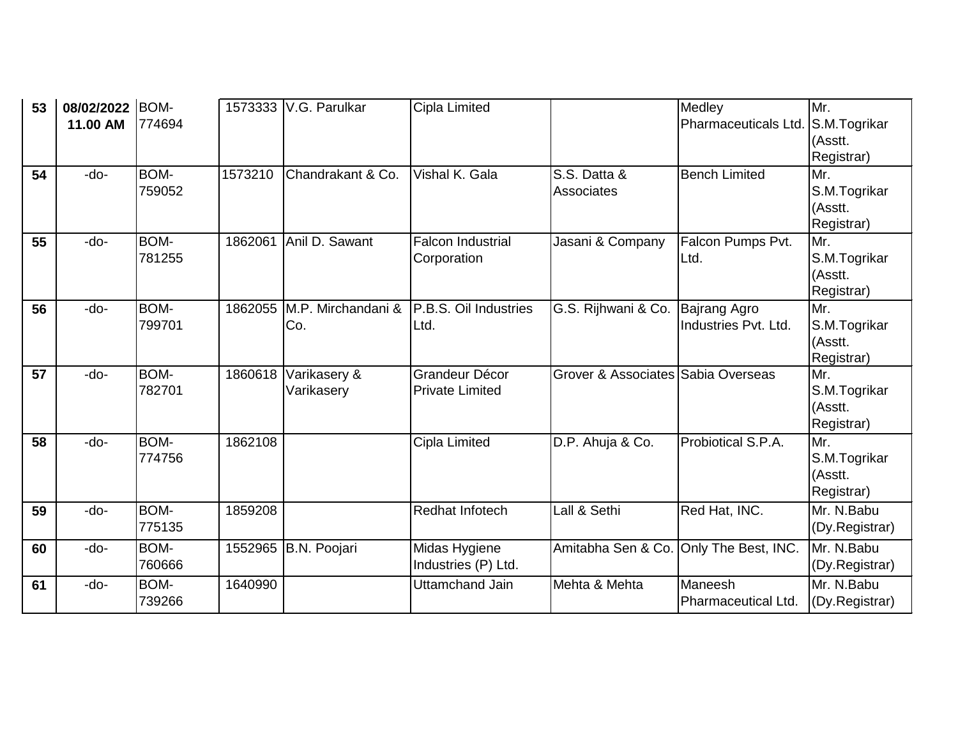| 53 | 08/02/2022<br>11.00 AM | BOM-<br>774694        |         | 1573333 V.G. Parulkar      | <b>Cipla Limited</b>                     |                                        | Medley<br>Pharmaceuticals Ltd.              | Mr.<br>S.M.Togrikar<br>(Asstt.<br>Registrar) |
|----|------------------------|-----------------------|---------|----------------------------|------------------------------------------|----------------------------------------|---------------------------------------------|----------------------------------------------|
| 54 | -do-                   | BOM-<br>759052        | 1573210 | Chandrakant & Co.          | Vishal K. Gala                           | S.S. Datta &<br><b>Associates</b>      | <b>Bench Limited</b>                        | Mr.<br>S.M.Togrikar<br>(Asstt.<br>Registrar) |
| 55 | $-do-$                 | BOM-<br>781255        | 1862061 | Anil D. Sawant             | <b>Falcon Industrial</b><br>Corporation  | Jasani & Company                       | Falcon Pumps Pvt.<br>Ltd.                   | Mr.<br>S.M.Togrikar<br>(Asstt.<br>Registrar) |
| 56 | -do-                   | BOM-<br>799701        | 1862055 | M.P. Mirchandani &<br>Co.  | P.B.S. Oil Industries<br>Ltd.            | G.S. Rijhwani & Co.                    | <b>Bajrang Agro</b><br>Industries Pvt. Ltd. | Mr.<br>S.M.Togrikar<br>(Asstt.<br>Registrar) |
| 57 | $-do-$                 | BOM-<br>782701        | 1860618 | Varikasery &<br>Varikasery | Grandeur Décor<br><b>Private Limited</b> | Grover & Associates Sabia Overseas     |                                             | Mr.<br>S.M.Togrikar<br>(Asstt.<br>Registrar) |
| 58 | $-do-$                 | BOM-<br>774756        | 1862108 |                            | Cipla Limited                            | D.P. Ahuja & Co.                       | Probiotical S.P.A.                          | Mr.<br>S.M.Togrikar<br>(Asstt.<br>Registrar) |
| 59 | -do-                   | <b>BOM-</b><br>775135 | 1859208 |                            | Redhat Infotech                          | Lall & Sethi                           | Red Hat, INC.                               | Mr. N.Babu<br>(Dy.Registrar)                 |
| 60 | -do-                   | BOM-<br>760666        |         | 1552965 B.N. Poojari       | Midas Hygiene<br>Industries (P) Ltd.     | Amitabha Sen & Co. Only The Best, INC. |                                             | Mr. N.Babu<br>(Dy.Registrar)                 |
| 61 | -do-                   | BOM-<br>739266        | 1640990 |                            | <b>Uttamchand Jain</b>                   | Mehta & Mehta                          | Maneesh<br>Pharmaceutical Ltd.              | Mr. N.Babu<br>(Dy.Registrar)                 |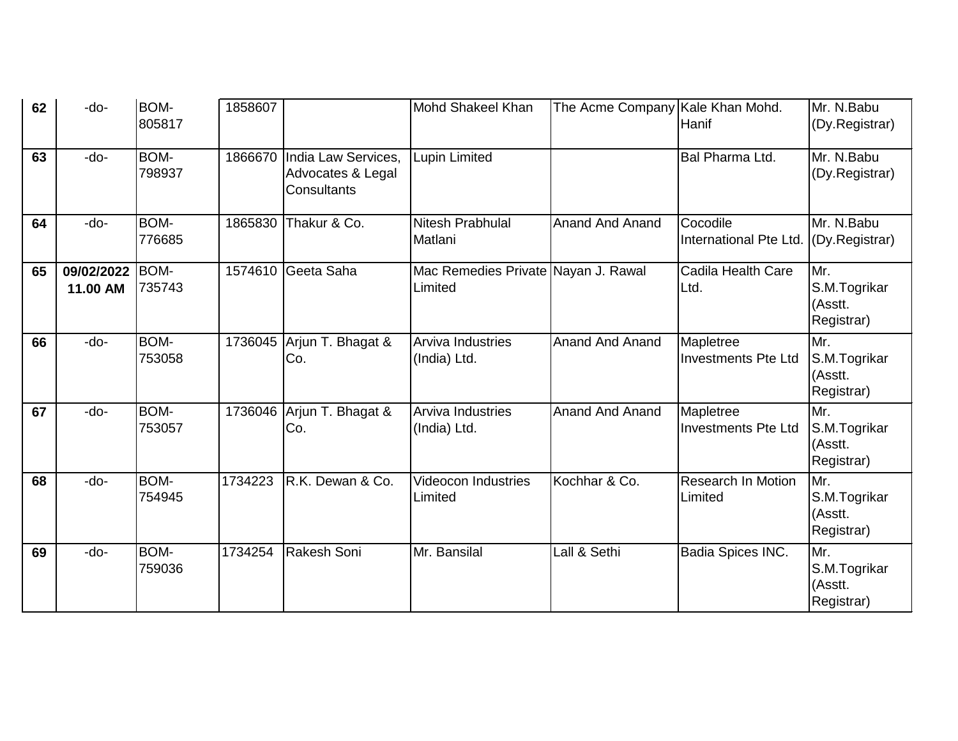| 62 | -do-                   | BOM-<br>805817        | 1858607 |                                                         | <b>Mohd Shakeel Khan</b>                       | The Acme Company Kale Khan Mohd. | Hanif                                   | Mr. N.Babu<br>(Dy.Registrar)                 |
|----|------------------------|-----------------------|---------|---------------------------------------------------------|------------------------------------------------|----------------------------------|-----------------------------------------|----------------------------------------------|
| 63 | -do-                   | BOM-<br>798937        | 1866670 | India Law Services,<br>Advocates & Legal<br>Consultants | Lupin Limited                                  |                                  | Bal Pharma Ltd.                         | Mr. N.Babu<br>(Dy.Registrar)                 |
| 64 | -do-                   | BOM-<br>776685        | 1865830 | Thakur & Co.                                            | <b>Nitesh Prabhulal</b><br>Matlani             | <b>Anand And Anand</b>           | Cocodile<br>International Pte Ltd.      | Mr. N.Babu<br>(Dy.Registrar)                 |
| 65 | 09/02/2022<br>11.00 AM | <b>BOM-</b><br>735743 |         | 1574610 Geeta Saha                                      | Mac Remedies Private Nayan J. Rawal<br>Limited |                                  | Cadila Health Care<br>Ltd.              | Mr.<br>S.M.Togrikar<br>(Asstt.<br>Registrar) |
| 66 | -do-                   | BOM-<br>753058        |         | 1736045 Arjun T. Bhagat &<br>Co.                        | Arviva Industries<br>(India) Ltd.              | <b>Anand And Anand</b>           | Mapletree<br><b>Investments Pte Ltd</b> | Mr.<br>S.M.Togrikar<br>(Asstt.<br>Registrar) |
| 67 | -do-                   | <b>BOM-</b><br>753057 | 1736046 | Arjun T. Bhagat &<br>Co.                                | <b>Arviva Industries</b><br>(India) Ltd.       | <b>Anand And Anand</b>           | Mapletree<br><b>Investments Pte Ltd</b> | Mr.<br>S.M.Togrikar<br>(Asstt.<br>Registrar) |
| 68 | $-do-$                 | BOM-<br>754945        | 1734223 | R.K. Dewan & Co.                                        | <b>Videocon Industries</b><br>Limited          | Kochhar & Co.                    | <b>Research In Motion</b><br>Limited    | Mr.<br>S.M.Togrikar<br>(Asstt.<br>Registrar) |
| 69 | -do-                   | BOM-<br>759036        | 1734254 | Rakesh Soni                                             | Mr. Bansilal                                   | Lall & Sethi                     | Badia Spices INC.                       | Mr.<br>S.M.Togrikar<br>(Asstt.<br>Registrar) |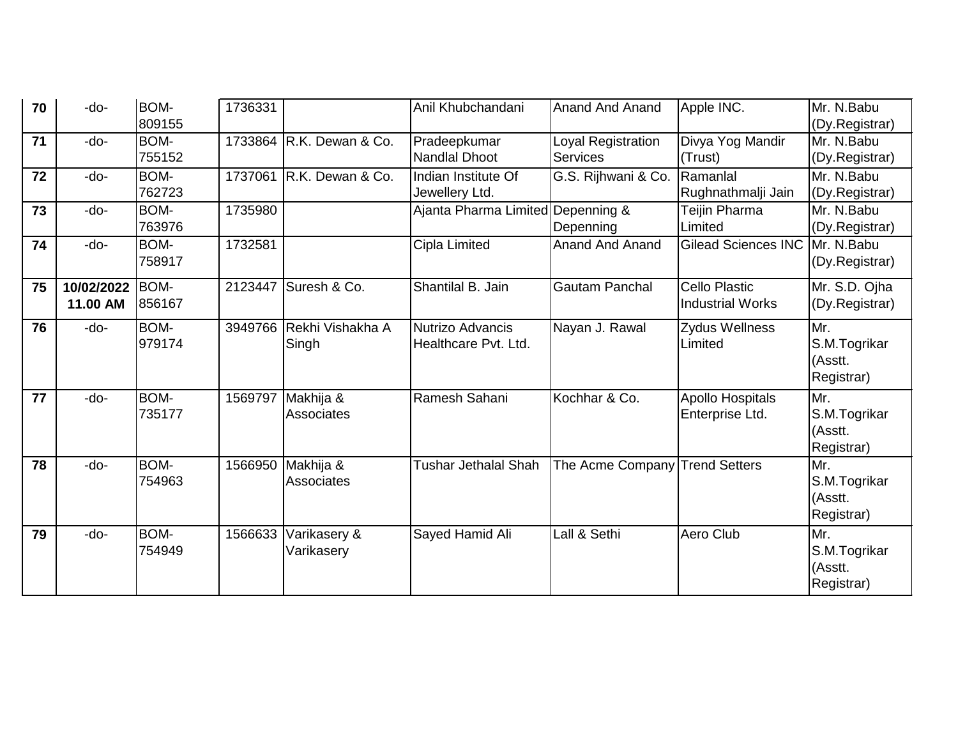| 70 | -do-                   | BOM-<br>809155 | 1736331 |                                | Anil Khubchandani                        | <b>Anand And Anand</b>                | Apple INC.                                      | Mr. N.Babu<br>(Dy.Registrar)                 |
|----|------------------------|----------------|---------|--------------------------------|------------------------------------------|---------------------------------------|-------------------------------------------------|----------------------------------------------|
| 71 | $-do-$                 | BOM-<br>755152 |         | 1733864 R.K. Dewan & Co.       | Pradeepkumar<br><b>Nandlal Dhoot</b>     | Loyal Registration<br><b>Services</b> | Divya Yog Mandir<br>(Trust)                     | Mr. N.Babu<br>(Dy.Registrar)                 |
| 72 | -do-                   | BOM-<br>762723 |         | 1737061 R.K. Dewan & Co.       | Indian Institute Of<br>Jewellery Ltd.    | G.S. Rijhwani & Co.                   | Ramanlal<br>Rughnathmalji Jain                  | Mr. N.Babu<br>(Dy.Registrar)                 |
| 73 | -do-                   | BOM-<br>763976 | 1735980 |                                | Ajanta Pharma Limited Depenning &        | Depenning                             | Teijin Pharma<br>Limited                        | Mr. N.Babu<br>(Dy.Registrar)                 |
| 74 | $-do-$                 | BOM-<br>758917 | 1732581 |                                | Cipla Limited                            | <b>Anand And Anand</b>                | <b>Gilead Sciences INC</b>                      | Mr. N.Babu<br>(Dy.Registrar)                 |
| 75 | 10/02/2022<br>11.00 AM | BOM-<br>856167 | 2123447 | Suresh & Co.                   | Shantilal B. Jain                        | <b>Gautam Panchal</b>                 | <b>Cello Plastic</b><br><b>Industrial Works</b> | Mr. S.D. Ojha<br>(Dy.Registrar)              |
| 76 | -do-                   | BOM-<br>979174 | 3949766 | Rekhi Vishakha A<br>Singh      | Nutrizo Advancis<br>Healthcare Pvt. Ltd. | Nayan J. Rawal                        | <b>Zydus Wellness</b><br>Limited                | Mr.<br>S.M.Togrikar<br>(Asstt.<br>Registrar) |
| 77 | -do-                   | BOM-<br>735177 | 1569797 | Makhija &<br>Associates        | Ramesh Sahani                            | Kochhar & Co.                         | <b>Apollo Hospitals</b><br>Enterprise Ltd.      | Mr.<br>S.M.Togrikar<br>(Asstt.<br>Registrar) |
| 78 | -do-                   | BOM-<br>754963 | 1566950 | Makhija &<br><b>Associates</b> | Tushar Jethalal Shah                     | The Acme Company Trend Setters        |                                                 | Mr.<br>S.M.Togrikar<br>(Asstt.<br>Registrar) |
| 79 | -do-                   | BOM-<br>754949 | 1566633 | Varikasery &<br>Varikasery     | Sayed Hamid Ali                          | Lall & Sethi                          | Aero Club                                       | Mr.<br>S.M.Togrikar<br>(Asstt.<br>Registrar) |